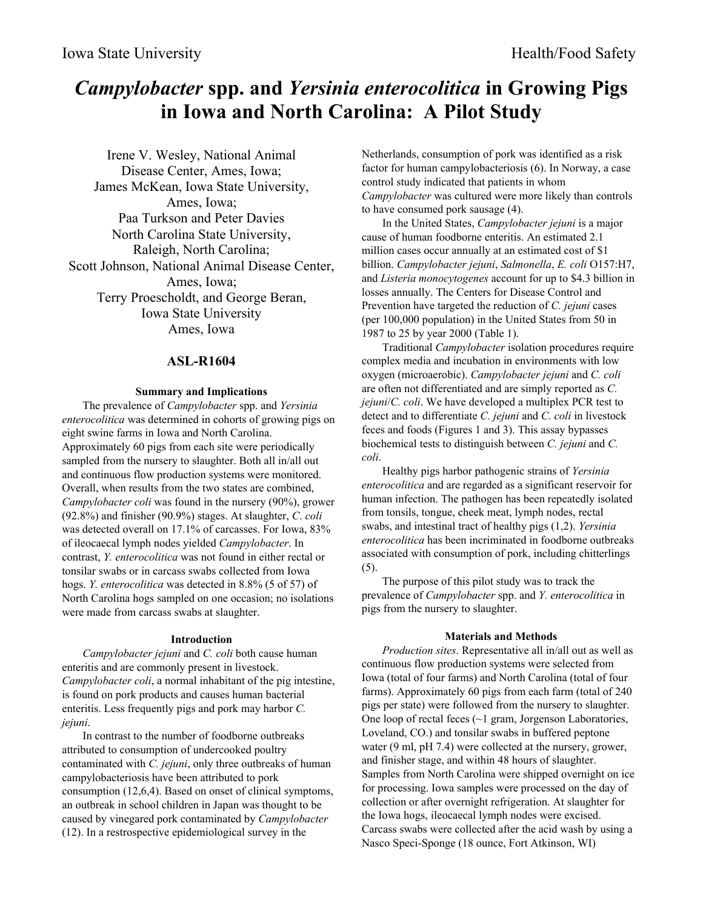# *Campylobacter* **spp. and** *Yersinia enterocolitica* **in Growing Pigs in Iowa and North Carolina: A Pilot Study**

Irene V. Wesley, National Animal Disease Center, Ames, Iowa; James McKean, Iowa State University, Ames, Iowa; Paa Turkson and Peter Davies North Carolina State University, Raleigh, North Carolina; Scott Johnson, National Animal Disease Center, Ames, Iowa; Terry Proescholdt, and George Beran, Iowa State University Ames, Iowa

# **ASL-R1604**

# **Summary and Implications**

The prevalence of *Campylobacter* spp. and *Yersinia enterocolitica* was determined in cohorts of growing pigs on eight swine farms in Iowa and North Carolina. Approximately 60 pigs from each site were periodically sampled from the nursery to slaughter. Both all in/all out and continuous flow production systems were monitored. Overall, when results from the two states are combined, *Campylobacter coli* was found in the nursery (90%), grower (92.8%) and finisher (90.9%) stages. At slaughter, *C*. *coli* was detected overall on 17.1% of carcasses. For Iowa, 83% of ileocaecal lymph nodes yielded *Campylobacter*. In contrast, *Y. enterocolitica* was not found in either rectal or tonsilar swabs or in carcass swabs collected from Iowa hogs. *Y. enterocolitica* was detected in 8.8% (5 of 57) of North Carolina hogs sampled on one occasion; no isolations were made from carcass swabs at slaughter.

# **Introduction**

*Campylobacter jejuni* and *C. coli* both cause human enteritis and are commonly present in livestock. *Campylobacter coli*, a normal inhabitant of the pig intestine, is found on pork products and causes human bacterial enteritis. Less frequently pigs and pork may harbor *C. jejuni*.

In contrast to the number of foodborne outbreaks attributed to consumption of undercooked poultry contaminated with *C. jejuni*, only three outbreaks of human campylobacteriosis have been attributed to pork consumption (12,6,4). Based on onset of clinical symptoms, an outbreak in school children in Japan was thought to be caused by vinegared pork contaminated by *Campylobacter* (12). In a restrospective epidemiological survey in the

Netherlands, consumption of pork was identified as a risk factor for human campylobacteriosis (6). In Norway, a case control study indicated that patients in whom *Campylobacter* was cultured were more likely than controls to have consumed pork sausage (4).

In the United States, *Campylobacter jejuni* is a major cause of human foodborne enteritis. An estimated 2.1 million cases occur annually at an estimated cost of \$1 billion. *Campylobacter jejuni*, *Salmonella*, *E. coli* O157:H7, and *Listeria monocytogenes* account for up to \$4.3 billion in losses annually. The Centers for Disease Control and Prevention have targeted the reduction of *C. jejuni* cases (per 100,000 population) in the United States from 50 in 1987 to 25 by year 2000 (Table 1).

Traditional *Campylobacter* isolation procedures require complex media and incubation in environments with low oxygen (microaerobic). *Campylobacter jejuni* and *C. coli* are often not differentiated and are simply reported as *C. jejuni*/*C. coli*. We have developed a multiplex PCR test to detect and to differentiate *C. jejuni* and *C. coli* in livestock feces and foods (Figures 1 and 3). This assay bypasses biochemical tests to distinguish between *C. jejuni* and *C. coli*.

Healthy pigs harbor pathogenic strains of *Yersinia enterocolitica* and are regarded as a significant reservoir for human infection. The pathogen has been repeatedly isolated from tonsils, tongue, cheek meat, lymph nodes, rectal swabs, and intestinal tract of healthy pigs (1,2). *Yersinia enterocolitica* has been incriminated in foodborne outbreaks associated with consumption of pork, including chitterlings (5).

The purpose of this pilot study was to track the prevalence of *Campylobacter* spp. and *Y. enterocolitica* in pigs from the nursery to slaughter.

# **Materials and Methods**

*Production sites*. Representative all in/all out as well as continuous flow production systems were selected from Iowa (total of four farms) and North Carolina (total of four farms). Approximately 60 pigs from each farm (total of 240 pigs per state) were followed from the nursery to slaughter. One loop of rectal feces (~1 gram, Jorgenson Laboratories, Loveland, CO.) and tonsilar swabs in buffered peptone water (9 ml, pH 7.4) were collected at the nursery, grower, and finisher stage, and within 48 hours of slaughter. Samples from North Carolina were shipped overnight on ice for processing. Iowa samples were processed on the day of collection or after overnight refrigeration. At slaughter for the Iowa hogs, ileocaecal lymph nodes were excised. Carcass swabs were collected after the acid wash by using a Nasco Speci-Sponge (18 ounce, Fort Atkinson, WI)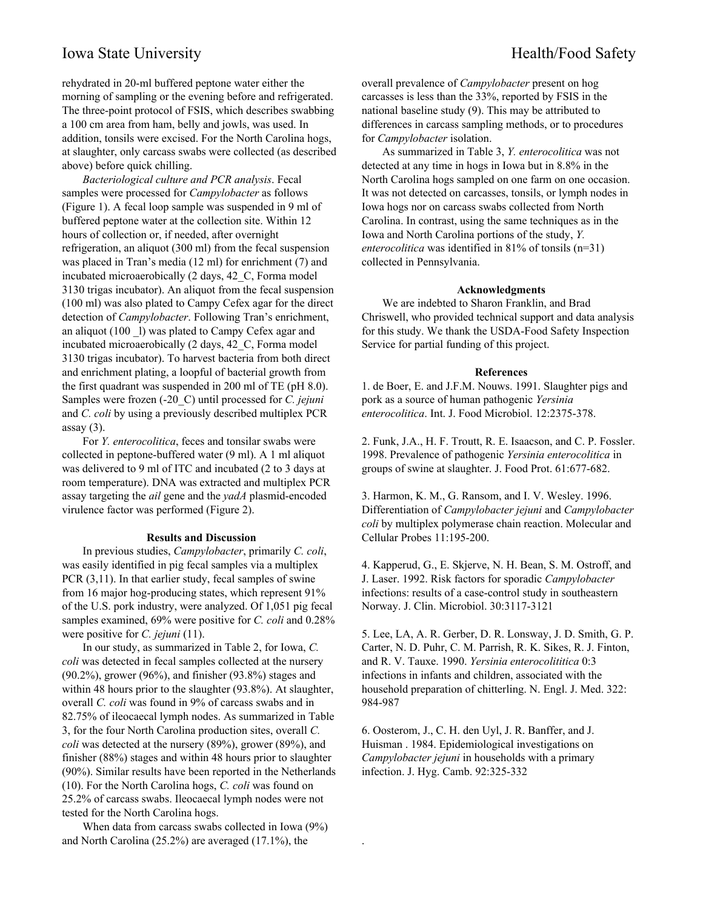# Iowa State University **Health/Food Safety**

rehydrated in 20-ml buffered peptone water either the morning of sampling or the evening before and refrigerated. The three-point protocol of FSIS, which describes swabbing a 100 cm area from ham, belly and jowls, was used. In

addition, tonsils were excised. For the North Carolina hogs, at slaughter, only carcass swabs were collected (as described above) before quick chilling.

*Bacteriological culture and PCR analysis*. Fecal samples were processed for *Campylobacter* as follows (Figure 1). A fecal loop sample was suspended in 9 ml of buffered peptone water at the collection site. Within 12 hours of collection or, if needed, after overnight refrigeration, an aliquot (300 ml) from the fecal suspension was placed in Tran's media (12 ml) for enrichment (7) and incubated microaerobically (2 days, 42\_C, Forma model 3130 trigas incubator). An aliquot from the fecal suspension (100 ml) was also plated to Campy Cefex agar for the direct detection of *Campylobacter*. Following Tran's enrichment, an aliquot (100 \_l) was plated to Campy Cefex agar and incubated microaerobically (2 days, 42\_C, Forma model 3130 trigas incubator). To harvest bacteria from both direct and enrichment plating, a loopful of bacterial growth from the first quadrant was suspended in 200 ml of TE (pH 8.0). Samples were frozen (-20\_C) until processed for *C. jejuni* and *C. coli* by using a previously described multiplex PCR assay $(3)$ .

For *Y. enterocolitica*, feces and tonsilar swabs were collected in peptone-buffered water (9 ml). A 1 ml aliquot was delivered to 9 ml of ITC and incubated (2 to 3 days at room temperature). DNA was extracted and multiplex PCR assay targeting the *ail* gene and the *yadA* plasmid-encoded virulence factor was performed (Figure 2).

#### **Results and Discussion**

In previous studies, *Campylobacter*, primarily *C. coli*, was easily identified in pig fecal samples via a multiplex PCR (3,11). In that earlier study, fecal samples of swine from 16 major hog-producing states, which represent 91% of the U.S. pork industry, were analyzed. Of 1,051 pig fecal samples examined, 69% were positive for *C. coli* and 0.28% were positive for *C. jejuni* (11).

In our study, as summarized in Table 2, for Iowa, *C. coli* was detected in fecal samples collected at the nursery (90.2%), grower (96%), and finisher (93.8%) stages and within 48 hours prior to the slaughter (93.8%). At slaughter, overall *C. coli* was found in 9% of carcass swabs and in 82.75% of ileocaecal lymph nodes. As summarized in Table 3, for the four North Carolina production sites, overall *C. coli* was detected at the nursery (89%), grower (89%), and finisher (88%) stages and within 48 hours prior to slaughter (90%). Similar results have been reported in the Netherlands (10). For the North Carolina hogs, *C. coli* was found on 25.2% of carcass swabs. Ileocaecal lymph nodes were not tested for the North Carolina hogs.

When data from carcass swabs collected in Iowa (9%) and North Carolina (25.2%) are averaged (17.1%), the

overall prevalence of *Campylobacter* present on hog carcasses is less than the 33%, reported by FSIS in the national baseline study (9). This may be attributed to differences in carcass sampling methods, or to procedures for *Campylobacter* isolation.

As summarized in Table 3, *Y. enterocolitica* was not detected at any time in hogs in Iowa but in 8.8% in the North Carolina hogs sampled on one farm on one occasion. It was not detected on carcasses, tonsils, or lymph nodes in Iowa hogs nor on carcass swabs collected from North Carolina. In contrast, using the same techniques as in the Iowa and North Carolina portions of the study, *Y. enterocolitica* was identified in 81% of tonsils (n=31) collected in Pennsylvania.

#### **Acknowledgments**

We are indebted to Sharon Franklin, and Brad Chriswell, who provided technical support and data analysis for this study. We thank the USDA-Food Safety Inspection Service for partial funding of this project.

#### **References**

1. de Boer, E. and J.F.M. Nouws. 1991. Slaughter pigs and pork as a source of human pathogenic *Yersinia enterocolitica*. Int. J. Food Microbiol. 12:2375-378.

2. Funk, J.A., H. F. Troutt, R. E. Isaacson, and C. P. Fossler. 1998. Prevalence of pathogenic *Yersinia enterocolitica* in groups of swine at slaughter. J. Food Prot. 61:677-682.

3. Harmon, K. M., G. Ransom, and I. V. Wesley. 1996. Differentiation of *Campylobacter jejuni* and *Campylobacter coli* by multiplex polymerase chain reaction. Molecular and Cellular Probes 11:195-200.

4. Kapperud, G., E. Skjerve, N. H. Bean, S. M. Ostroff, and J. Laser. 1992. Risk factors for sporadic *Campylobacter* infections: results of a case-control study in southeastern Norway. J. Clin. Microbiol. 30:3117-3121

5. Lee, LA, A. R. Gerber, D. R. Lonsway, J. D. Smith, G. P. Carter, N. D. Puhr, C. M. Parrish, R. K. Sikes, R. J. Finton, and R. V. Tauxe. 1990. *Yersinia enterocolititica* 0:3 infections in infants and children, associated with the household preparation of chitterling. N. Engl. J. Med. 322: 984-987

6. Oosterom, J., C. H. den Uyl, J. R. Banffer, and J. Huisman . 1984. Epidemiological investigations on *Campylobacter jejuni* in households with a primary infection. J. Hyg. Camb. 92:325-332

.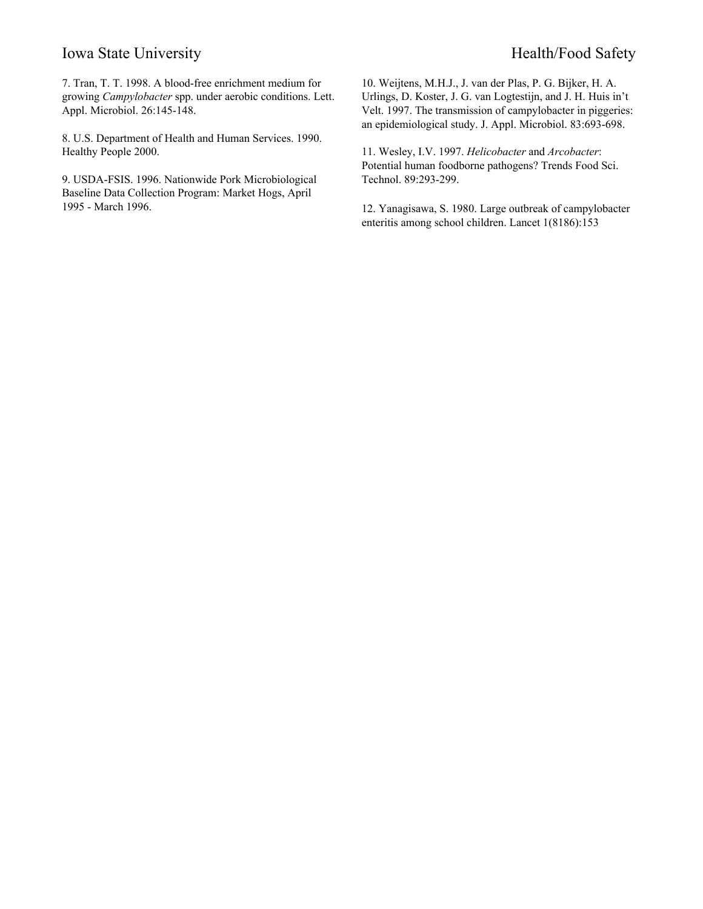# Iowa State University **Health/Food Safety** Health/Food Safety

7. Tran, T. T. 1998. A blood-free enrichment medium for growing *Campylobacter* spp. under aerobic conditions. Lett. Appl. Microbiol. 26:145-148.

8. U.S. Department of Health and Human Services. 1990. Healthy People 2000.

9. USDA-FSIS. 1996. Nationwide Pork Microbiological Baseline Data Collection Program: Market Hogs, April 1995 - March 1996.

10. Weijtens, M.H.J., J. van der Plas, P. G. Bijker, H. A. Urlings, D. Koster, J. G. van Logtestijn, and J. H. Huis in't Velt. 1997. The transmission of campylobacter in piggeries: an epidemiological study. J. Appl. Microbiol. 83:693-698.

11. Wesley, I.V. 1997. *Helicobacter* and *Arcobacter*: Potential human foodborne pathogens? Trends Food Sci. Technol. 89:293-299.

12. Yanagisawa, S. 1980. Large outbreak of campylobacter enteritis among school children. Lancet 1(8186):153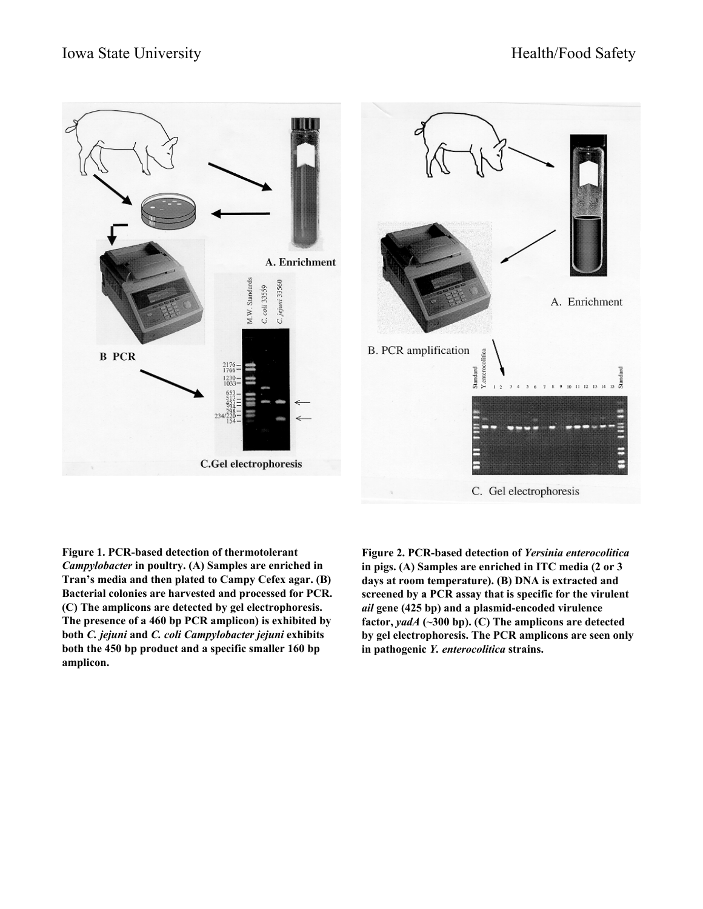

**Figure 1. PCR-based detection of thermotolerant** *Campylobacter* **in poultry. (A) Samples are enriched in Tran's media and then plated to Campy Cefex agar. (B) Bacterial colonies are harvested and processed for PCR. (C) The amplicons are detected by gel electrophoresis. The presence of a 460 bp PCR amplicon) is exhibited by both** *C. jejuni* **and** *C. coli Campylobacter jejuni* **exhibits both the 450 bp product and a specific smaller 160 bp amplicon.**

**Figure 2. PCR-based detection of** *Yersinia enterocolitica* **in pigs. (A) Samples are enriched in ITC media (2 or 3 days at room temperature). (B) DNA is extracted and screened by a PCR assay that is specific for the virulent** *ail* **gene (425 bp) and a plasmid-encoded virulence factor,** *yadA* **(~300 bp). (C) The amplicons are detected by gel electrophoresis. The PCR amplicons are seen only in pathogenic** *Y. enterocolitica* **strains.**